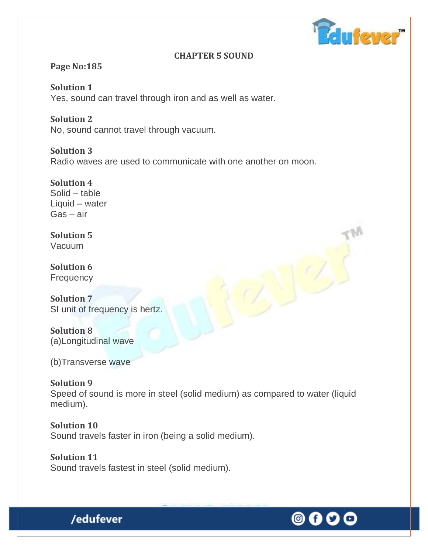

### **CHAPTER 5 SOUND**

# **Page No:185**

**Solution 1** Yes, sound can travel through iron and as well as water.

**Solution 2** No, sound cannot travel through vacuum.

**Solution 3** Radio waves are used to communicate with one another on moon.

**Solution 4**  Solid – table Liquid – water Gas – air

**Solution 5** Vacuum

**Solution 6 Frequency** 

**Solution 7** SI unit of frequency is hertz.

**Solution 8** (a)Longitudinal wave

(b)Transverse wave

**Solution 9** Speed of sound is more in steel (solid medium) as compared to water (liquid medium).

**Solution 10** Sound travels faster in iron (being a solid medium).

**Solution 11** Sound travels fastest in steel (solid medium).

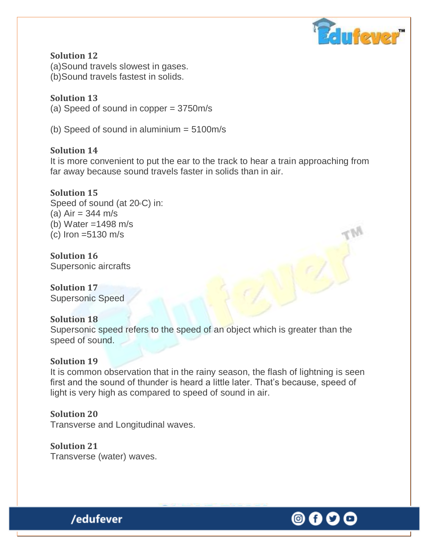

**Solution 12** (a)Sound travels slowest in gases. (b)Sound travels fastest in solids.

**Solution 13** (a) Speed of sound in copper = 3750m/s

(b) Speed of sound in aluminium = 5100m/s

**Solution 14**

It is more convenient to put the ear to the track to hear a train approaching from far away because sound travels faster in solids than in air.

### **Solution 15**

Speed of sound (at  $20°C$ ) in: (a) Air = 344 m/s (b) Water =1498 m/s (c) Iron =5130 m/s

**Solution 16** Supersonic aircrafts

**Solution 17** Supersonic Speed

### **Solution 18**

Supersonic speed refers to the speed of an object which is greater than the speed of sound.

### **Solution 19**

It is common observation that in the rainy season, the flash of lightning is seen first and the sound of thunder is heard a little later. That's because, speed of light is very high as compared to speed of sound in air.

### **Solution 20**

Transverse and Longitudinal waves.

**Solution 21** Transverse (water) waves.



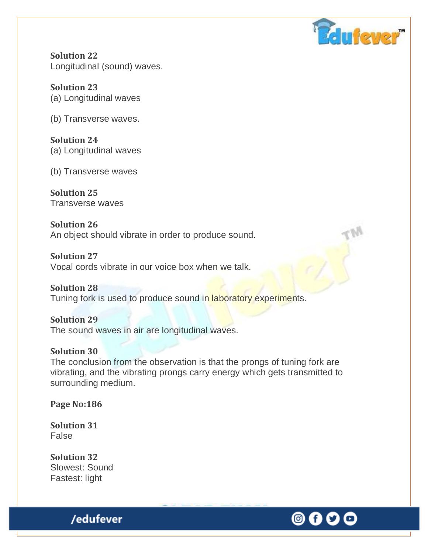

**Solution 22** Longitudinal (sound) waves.

**Solution 23** (a) Longitudinal waves

(b) Transverse waves.

**Solution 24** (a) Longitudinal waves

(b) Transverse waves

**Solution 25** Transverse waves

**Solution 26** An object should vibrate in order to produce sound.

**Solution 27** Vocal cords vibrate in our voice box when we talk.

**Solution 28** Tuning fork is used to produce sound in laboratory experiments.

**Solution 29** The sound waves in air are longitudinal waves.

### **Solution 30** The conclusion from the observation is that the prongs of tuning fork are vibrating, and the vibrating prongs carry energy which gets transmitted to surrounding medium.

**Page No:186** 

**Solution 31** False

**Solution 32**  Slowest: Sound Fastest: light

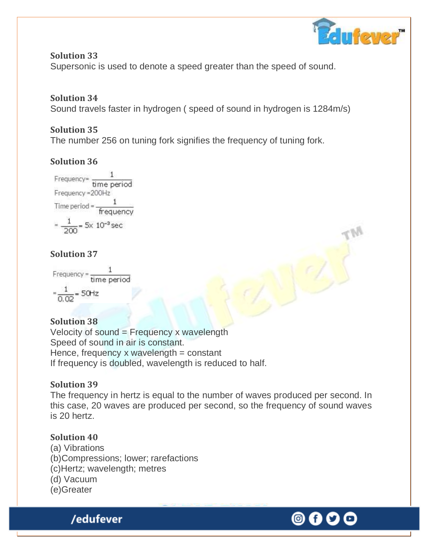

**Solution 33** Supersonic is used to denote a speed greater than the speed of sound.

# **Solution 34**

Sound travels faster in hydrogen ( speed of sound in hydrogen is 1284m/s)

# **Solution 35**

The number 256 on tuning fork signifies the frequency of tuning fork.

# **Solution 36**



# **Solution 37**

Frequency =  $\frac{1}{time period}$  $=\frac{1}{0.02}$  = 50Hz

# **Solution 38**

Velocity of sound = Frequency x wavelength Speed of sound in air is constant. Hence, frequency x wavelength  $=$  constant If frequency is doubled, wavelength is reduced to half.

# **Solution 39**

The frequency in hertz is equal to the number of waves produced per second. In this case, 20 waves are produced per second, so the frequency of sound waves is 20 hertz.

# **Solution 40**

- (a) Vibrations
- (b)Compressions; lower; rarefactions
- (c)Hertz; wavelength; metres
- (d) Vacuum
- (e)Greater

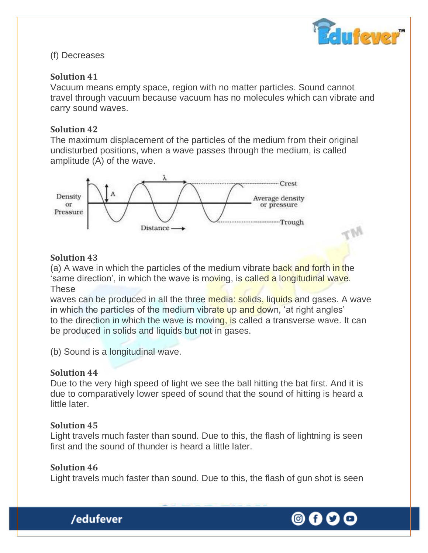

#### (f) Decreases

#### **Solution 41**

Vacuum means empty space, region with no matter particles. Sound cannot travel through vacuum because vacuum has no molecules which can vibrate and carry sound waves.

#### **Solution 42**

The maximum displacement of the particles of the medium from their original undisturbed positions, when a wave passes through the medium, is called amplitude (A) of the wave.



### **Solution 43**

(a) A wave in which the particles of the medium vibrate back and forth in the 'same direction', in which the wave is moving, is called a longitudinal wave. These

waves can be produced in all the three media: solids, liquids and gases. A wave in which the particles of the medium vibrate up and down, 'at right angles' to the direction in which the wave is moving, is called a transverse wave. It can be produced in solids and liquids but not in gases.

(b) Sound is a longitudinal wave.

#### **Solution 44**

Due to the very high speed of light we see the ball hitting the bat first. And it is due to comparatively lower speed of sound that the sound of hitting is heard a little later.

### **Solution 45**

Light travels much faster than sound. Due to this, the flash of lightning is seen first and the sound of thunder is heard a little later.

### **Solution 46**

Light travels much faster than sound. Due to this, the flash of gun shot is seen



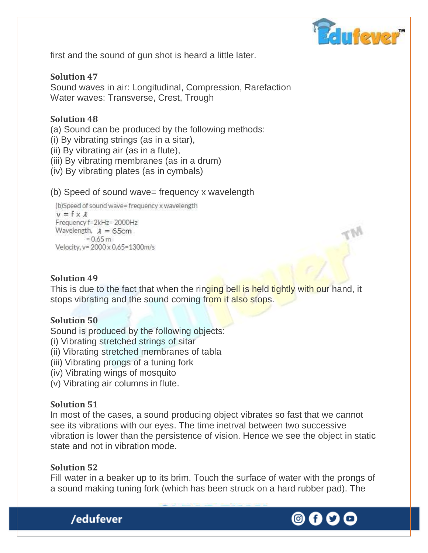

first and the sound of gun shot is heard a little later.

### **Solution 47** Sound waves in air: Longitudinal, Compression, Rarefaction Water waves: Transverse, Crest, Trough

### **Solution 48**

(a) Sound can be produced by the following methods:

(i) By vibrating strings (as in a sitar),

- (ii) By vibrating air (as in a flute),
- (iii) By vibrating membranes (as in a drum)
- (iv) By vibrating plates (as in cymbals)

#### (b) Speed of sound wave= frequency x wavelength

```
(b)Speed of sound wave= frequency x wavelength
v = f \times \lambdaFrequency f=2kHz= 2000Hz
Wavelength, \lambda = 65cm
         = 0.65 m
Velocity, y= 2000 x 0.65=1300m/s
```
### **Solution 49**

This is due to the fact that when the ringing bell is held tightly with our hand, it stops vibrating and the sound coming from it also stops.

### **Solution 50**

Sound is produced by the following objects:

- (i) Vibrating stretched strings of sitar
- (ii) Vibrating stretched membranes of tabla
- (iii) Vibrating prongs of a tuning fork
- (iv) Vibrating wings of mosquito
- (v) Vibrating air columns in flute.

### **Solution 51**

In most of the cases, a sound producing object vibrates so fast that we cannot see its vibrations with our eyes. The time inetrval between two successive vibration is lower than the persistence of vision. Hence we see the object in static state and not in vibration mode.

### **Solution 52**

Fill water in a beaker up to its brim. Touch the surface of water with the prongs of a sound making tuning fork (which has been struck on a hard rubber pad). The



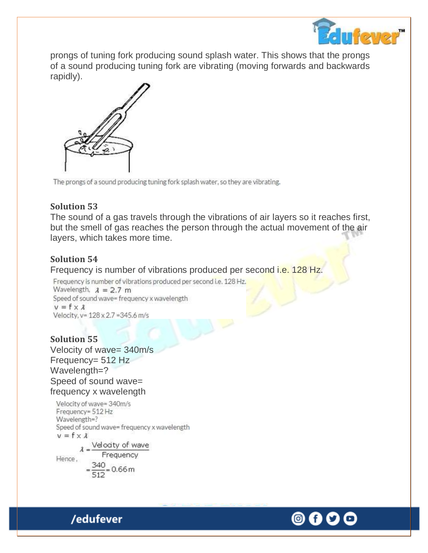

prongs of tuning fork producing sound splash water. This shows that the prongs of a sound producing tuning fork are vibrating (moving forwards and backwards rapidly).



The prongs of a sound producing tuning fork splash water, so they are vibrating.

### **Solution 53**

The sound of a gas travels through the vibrations of air layers so it reaches first, but the smell of gas reaches the person through the actual movement of the air layers, which takes more time.

# **Solution 54**

Frequency is number of vibrations produced per second i.e. 128 Hz.

Frequency is number of vibrations produced per second i.e. 128 Hz. Wavelength,  $\lambda = 2.7$  m Speed of sound wave= frequency x wavelength  $v = f \times \lambda$ Velocity, v= 128 x 2.7 = 345.6 m/s

# **Solution 55**

Velocity of wave= 340m/s Frequency= 512 Hz Wavelength=? Speed of sound wave= frequency x wavelength

/edufever

Velocity of wave= 340m/s Frequency= 512 Hz Wavelength=? Speed of sound wave= frequency x wavelength  $v = f \times \lambda$  $\lambda = \frac{\text{Velocity of wave}}{2}$ Frequency Hence.  $\frac{340}{512}$  = 0.66 m

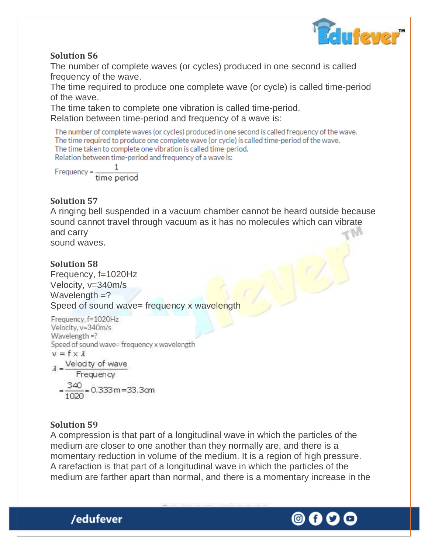

The number of complete waves (or cycles) produced in one second is called frequency of the wave.

The time required to produce one complete wave (or cycle) is called time-period of the wave.

The time taken to complete one vibration is called time-period. Relation between time-period and frequency of a wave is:

The number of complete waves (or cycles) produced in one second is called frequency of the wave. The time required to produce one complete wave (or cycle) is called time-period of the wave. The time taken to complete one vibration is called time-period. Relation between time-period and frequency of a wave is:

 $Frequency = \frac{1}{time period}$ 

### **Solution 57**

A ringing bell suspended in a vacuum chamber cannot be heard outside because sound cannot travel through vacuum as it has no molecules which can vibrate and carry sound waves.

# **Solution 58**

Frequency, f=1020Hz Velocity, v=340m/s Wavelength  $=$ ? Speed of sound wave= frequency x wavelength

```
Frequency, f=1020Hz
Velocity, y=340m/s
Wavelength =?
Speed of sound wave= frequency x wavelength
v = f \times \lambda\lambda = \frac{\text{Velocity of wave}}{\text{Frequency}}=\frac{340}{1020} = 0.333 m = 33.3 cm
```
### **Solution 59**

/edufever

A compression is that part of a longitudinal wave in which the particles of the medium are closer to one another than they normally are, and there is a momentary reduction in volume of the medium. It is a region of high pressure. A rarefaction is that part of a longitudinal wave in which the particles of the medium are farther apart than normal, and there is a momentary increase in the

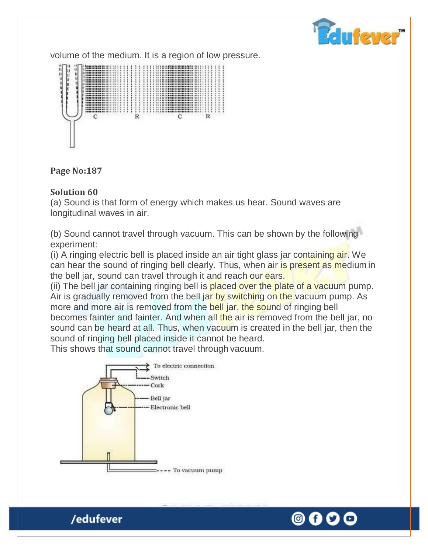

volume of the medium. It is a region of low pressure.



#### **Page No:187**

#### **Solution 60**

(a) Sound is that form of energy which makes us hear. Sound waves are longitudinal waves in air.

(b) Sound cannot travel through vacuum. This can be shown by the following experiment:

(i) A ringing electric bell is placed inside an air tight glass jar containing air. We can hear the sound of ringing bell clearly. Thus, when air is present as medium in the bell jar, sound can travel through it and reach our ears.

(ii) The bell jar containing ringing bell is placed over the plate of a vacuum pump. Air is gradually removed from the bell jar by switching on the vacuum pump. As more and more air is removed from the bell jar, the sound of ringing bell becomes fainter and fainter. And when all the air is removed from the bell jar, no sound can be heard at all. Thus, when vacuum is created in the bell jar, then the sound of ringing bell placed inside it cannot be heard.

This shows that sound cannot travel through vacuum.



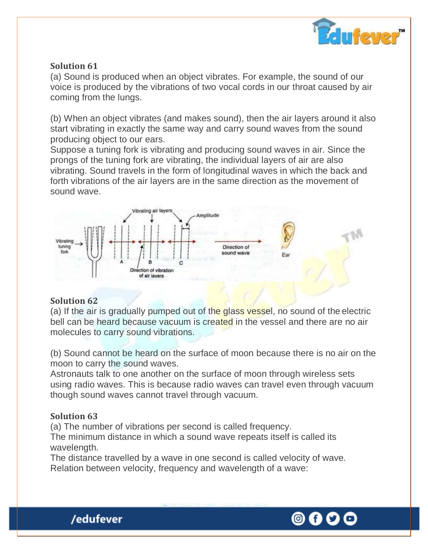

(a) Sound is produced when an object vibrates. For example, the sound of our voice is produced by the vibrations of two vocal cords in our throat caused by air coming from the lungs.

(b) When an object vibrates (and makes sound), then the air layers around it also start vibrating in exactly the same way and carry sound waves from the sound producing object to our ears.

Suppose a tuning fork is vibrating and producing sound waves in air. Since the prongs of the tuning fork are vibrating, the individual layers of air are also vibrating. Sound travels in the form of longitudinal waves in which the back and forth vibrations of the air layers are in the same direction as the movement of sound wave.



### **Solution 62**

(a) If the air is gradually pumped out of the glass vessel, no sound of the electric bell can be heard because vacuum is created in the vessel and there are no air molecules to carry sound vibrations.

(b) Sound cannot be heard on the surface of moon because there is no air on the moon to carry the sound waves.

Astronauts talk to one another on the surface of moon through wireless sets using radio waves. This is because radio waves can travel even through vacuum though sound waves cannot travel through vacuum.

# **Solution 63**

(a) The number of vibrations per second is called frequency.

The minimum distance in which a sound wave repeats itself is called its wavelength.

The distance travelled by a wave in one second is called velocity of wave. Relation between velocity, frequency and wavelength of a wave:



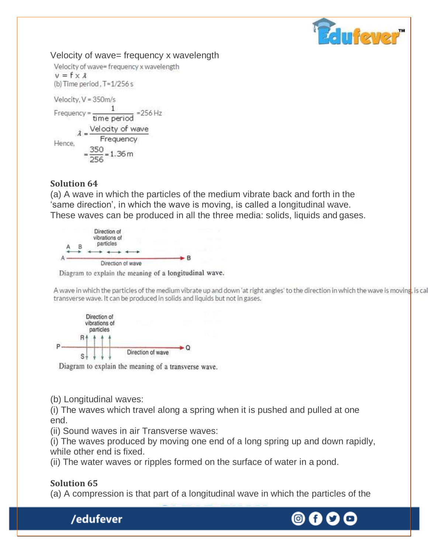

Velocity of wave= frequency x wavelength Velocity of wave= frequency x wavelength  $v = f \times \lambda$ (b) Time period, T=1/256 s Velocity, V = 350m/s Frequency =  $\frac{1}{time period}$  = 256 Hz  $\lambda = \frac{\text{Velocity of wave}}{\text{Frequency}}$  $=\frac{350}{256}$  = 1.36 m

### **Solution 64**

(a) A wave in which the particles of the medium vibrate back and forth in the 'same direction', in which the wave is moving, is called a longitudinal wave. These waves can be produced in all the three media: solids, liquids and gases.



Diagram to explain the meaning of a longitudinal wave.

A wave in which the particles of the medium vibrate up and down 'at right angles' to the direction in which the wave is moving, is cal transverse wave. It can be produced in solids and liquids but not in gases.



Diagram to explain the meaning of a transverse wave.

(b) Longitudinal waves:

/edufever

(i) The waves which travel along a spring when it is pushed and pulled at one end.

(ii) Sound waves in air Transverse waves:

(i) The waves produced by moving one end of a long spring up and down rapidly, while other end is fixed.

(ii) The water waves or ripples formed on the surface of water in a pond.

# **Solution 65**

(a) A compression is that part of a longitudinal wave in which the particles of the

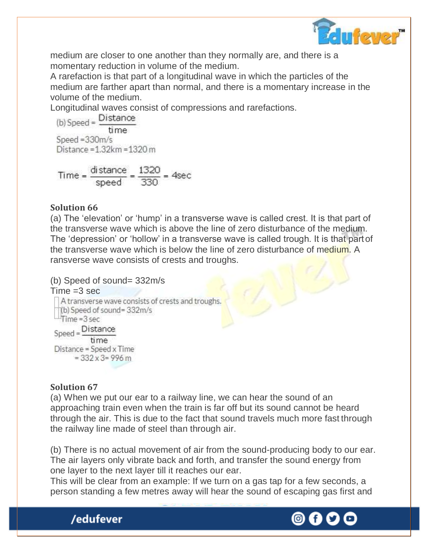

medium are closer to one another than they normally are, and there is a momentary reduction in volume of the medium.

A rarefaction is that part of a longitudinal wave in which the particles of the medium are farther apart than normal, and there is a momentary increase in the volume of the medium.

Longitudinal waves consist of compressions and rarefactions.<br>(b) Speed =  $\frac{\text{Distance}}{\text{Distance}}$ 

time Speed =  $330m/s$ Distance =  $1.32$ km =  $1320$  m

Time =  $\frac{\text{distance}}{\text{speed}} = \frac{1320}{330}$  = 4sec

# **Solution 66**

(a) The 'elevation' or 'hump' in a transverse wave is called crest. It is that part of the transverse wave which is above the line of zero disturbance of the medium. The 'depression' or 'hollow' in a transverse wave is called trough. It is that partof the transverse wave which is below the line of zero disturbance of medium. A ransverse wave consists of crests and troughs.

```
(b) Speed of sound= 332m/s 
Time = 3 secA transverse wave consists of crests and troughs.
  (b) Speed of sound=332m/s
 \frac{1}{2}Time = 3 sec
Speed = \frac{Distance}{Time}time
 Distance = Speed x Time
       = 332 \times 3 = 996 m
```
# **Solution 67**

/edufever

(a) When we put our ear to a railway line, we can hear the sound of an approaching train even when the train is far off but its sound cannot be heard through the air. This is due to the fact that sound travels much more fast through the railway line made of steel than through air.

(b) There is no actual movement of air from the sound-producing body to our ear. The air layers only vibrate back and forth, and transfer the sound energy from one layer to the next layer till it reaches our ear.

This will be clear from an example: If we turn on a gas tap for a few seconds, a person standing a few metres away will hear the sound of escaping gas first and

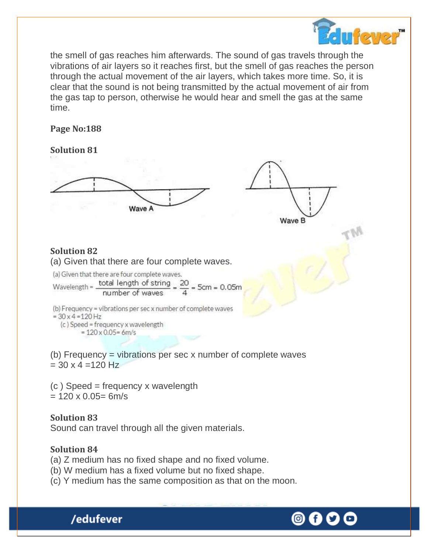

the smell of gas reaches him afterwards. The sound of gas travels through the vibrations of air layers so it reaches first, but the smell of gas reaches the person through the actual movement of the air layers, which takes more time. So, it is clear that the sound is not being transmitted by the actual movement of air from the gas tap to person, otherwise he would hear and smell the gas at the same time.

### **Page No:188**

### **Solution 81**



### **Solution 82**

(a) Given that there are four complete waves.

(a) Given that there are four complete waves.  $x = 1 + 1$ 

Wavelength = 
$$
\frac{\text{total length of string}}{\text{number of waves}} = \frac{20}{4} = 5 \text{cm} = 0.05 \text{m}
$$

(b) Frequency = vibrations per sec x number of complete waves  $= 30 \times 4 = 120$  Hz (c) Speed = frequency x wavelength  $= 120 \times 0.05 = 6m/s$ 

(b) Frequency = vibrations per sec x number of complete waves  $= 30 \times 4 = 120$  Hz

(c ) Speed = frequency x wavelength  $= 120 \times 0.05 = 6$ m/s

# **Solution 83**

Sound can travel through all the given materials.

# **Solution 84**

- (a) Z medium has no fixed shape and no fixed volume.
- (b) W medium has a fixed volume but no fixed shape.
- (c) Y medium has the same composition as that on the moon.

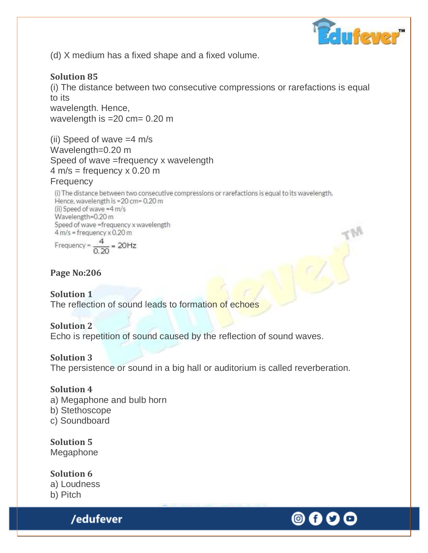

(d) X medium has a fixed shape and a fixed volume.

# **Solution 85**

(i) The distance between two consecutive compressions or rarefactions is equal to its wavelength. Hence,

wavelength is =20 cm= 0.20 m

(ii) Speed of wave =4 m/s Wavelength=0.20 m Speed of wave =frequency x wavelength  $4 \text{ m/s} = \text{frequency} \times 0.20 \text{ m}$ 

### **Frequency**

(i) The distance between two consecutive compressions or rarefactions is equal to its wavelength. Hence, wavelength is =20 cm= 0.20 m (ii) Speed of wave =4 m/s Wavelength=0.20 m Speed of wave =frequency x wavelength  $4 m/s = frequency \times 0.20 m$ 

Frequency = 
$$
\frac{4}{0.20}
$$
 = 20Hz

# **Page No:206**

**Solution 1** The reflection of sound leads to formation of echoes

### **Solution 2**

Echo is repetition of sound caused by the reflection of sound waves.

### **Solution 3**

The persistence or sound in a big hall or auditorium is called reverberation.

# **Solution 4**

a) Megaphone and bulb horn b) Stethoscope c) Soundboard

**Solution 5** Megaphone

**Solution 6** a) Loudness b) Pitch

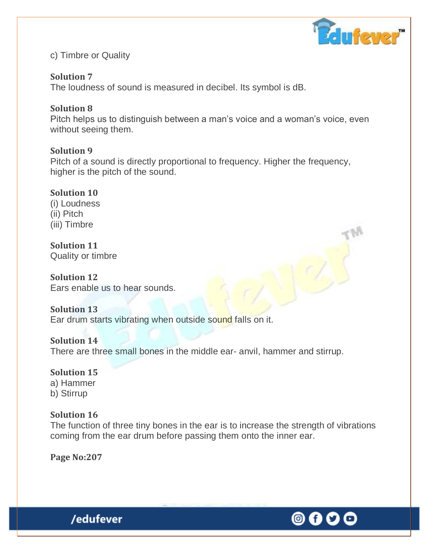

c) Timbre or Quality

# **Solution 7**

The loudness of sound is measured in decibel. Its symbol is dB.

# **Solution 8**

Pitch helps us to distinguish between a man's voice and a woman's voice, even without seeing them.

# **Solution 9**

Pitch of a sound is directly proportional to frequency. Higher the frequency, higher is the pitch of the sound.

### **Solution 10**

(i) Loudness (ii) Pitch (iii) Timbre

**Solution 11** Quality or timbre

**Solution 12** Ears enable us to hear sounds.

### **Solution 13**

Ear drum starts vibrating when outside sound falls on it.

### **Solution 14**

There are three small bones in the middle ear- anvil, hammer and stirrup.

# **Solution 15**

a) Hammer b) Stirrup

### **Solution 16**

The function of three tiny bones in the ear is to increase the strength of vibrations coming from the ear drum before passing them onto the inner ear.

**Page No:207**

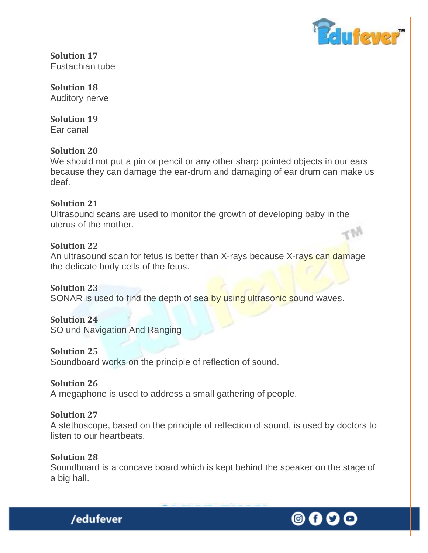

**Solution 17** Eustachian tube

**Solution 18** Auditory nerve

**Solution 19** Ear canal

### **Solution 20**

We should not put a pin or pencil or any other sharp pointed objects in our ears because they can damage the ear-drum and damaging of ear drum can make us deaf.

### **Solution 21**

Ultrasound scans are used to monitor the growth of developing baby in the uterus of the mother.

### **Solution 22**

An ultrasound scan for fetus is better than X-rays because X-rays can damage the delicate body cells of the fetus.

# **Solution 23**

SONAR is used to find the depth of sea by using ultrasonic sound waves.

# **Solution 24**

SO und Navigation And Ranging

### **Solution 25**

Soundboard works on the principle of reflection of sound.

# **Solution 26**

A megaphone is used to address a small gathering of people.

# **Solution 27**

A stethoscope, based on the principle of reflection of sound, is used by doctors to listen to our heartbeats.

#### **Solution 28**

Soundboard is a concave board which is kept behind the speaker on the stage of a big hall.



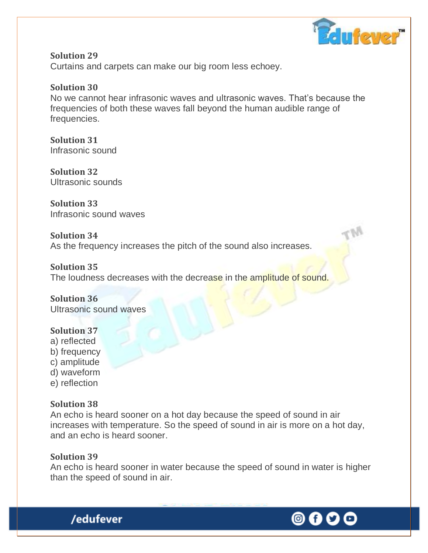

**Solution 29** Curtains and carpets can make our big room less echoey.

### **Solution 30**

No we cannot hear infrasonic waves and ultrasonic waves. That's because the frequencies of both these waves fall beyond the human audible range of frequencies.

**Solution 31** Infrasonic sound

**Solution 32** Ultrasonic sounds

**Solution 33** Infrasonic sound waves

**Solution 34**

As the frequency increases the pitch of the sound also increases.

**Solution 35** The loudness decreases with the decrease in the amplitude of sound.

**Solution 36** Ultrasonic sound waves

### **Solution 37**

- a) reflected
- b) frequency
- c) amplitude
- d) waveform
- e) reflection

# **Solution 38**

An echo is heard sooner on a hot day because the speed of sound in air increases with temperature. So the speed of sound in air is more on a hot day, and an echo is heard sooner.

### **Solution 39**

An echo is heard sooner in water because the speed of sound in water is higher than the speed of sound in air.



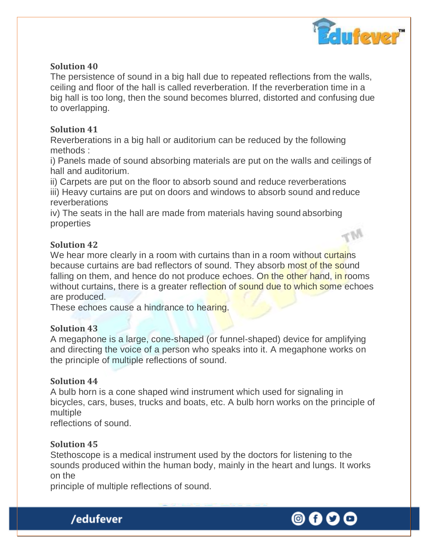

The persistence of sound in a big hall due to repeated reflections from the walls, ceiling and floor of the hall is called reverberation. If the reverberation time in a big hall is too long, then the sound becomes blurred, distorted and confusing due to overlapping.

#### **Solution 41**

Reverberations in a big hall or auditorium can be reduced by the following methods :

i) Panels made of sound absorbing materials are put on the walls and ceilings of hall and auditorium.

ii) Carpets are put on the floor to absorb sound and reduce reverberations

iii) Heavy curtains are put on doors and windows to absorb sound and reduce reverberations

iv) The seats in the hall are made from materials having sound absorbing properties

### **Solution 42**

We hear more clearly in a room with curtains than in a room without curtains because curtains are bad reflectors of sound. They absorb most of the sound falling on them, and hence do not produce echoes. On the other hand, in rooms without curtains, there is a greater reflection of sound due to which some echoes are produced.

These echoes cause a hindrance to hearing.

### **Solution 43**

A megaphone is a large, cone-shaped (or funnel-shaped) device for amplifying and directing the voice of a person who speaks into it. A megaphone works on the principle of multiple reflections of sound.

### **Solution 44**

A bulb horn is a cone shaped wind instrument which used for signaling in bicycles, cars, buses, trucks and boats, etc. A bulb horn works on the principle of multiple

reflections of sound.

### **Solution 45**

Stethoscope is a medical instrument used by the doctors for listening to the sounds produced within the human body, mainly in the heart and lungs. It works on the

principle of multiple reflections of sound.



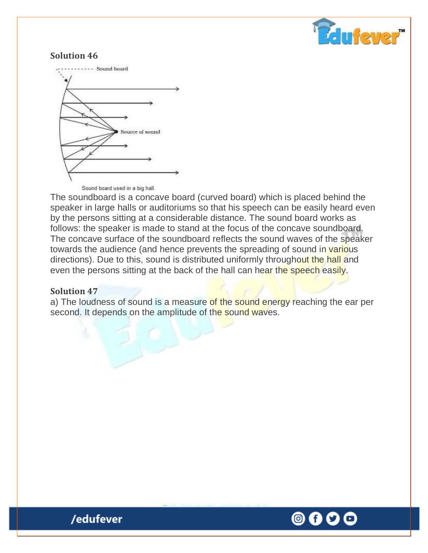



Sound board used in a big hall.

The soundboard is a concave board (curved board) which is placed behind the speaker in large halls or auditoriums so that his speech can be easily heard even by the persons sitting at a considerable distance. The sound board works as follows: the speaker is made to stand at the focus of the concave soundboard. The concave surface of the soundboard reflects the sound waves of the speaker towards the audience (and hence prevents the spreading of sound in various directions). Due to this, sound is distributed uniformly throughout the hall and even the persons sitting at the back of the hall can hear the speech easily.

#### **Solution 47**

a) The loudness of sound is a measure of the sound energy reaching the ear per second. It depends on the amplitude of the sound waves.

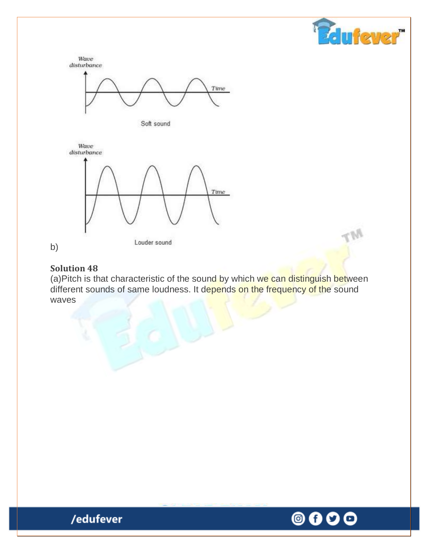



(a)Pitch is that characteristic of the sound by which we can distinguish between different sounds of same loudness. It depends on the frequency of the sound waves

> ◎ 0 O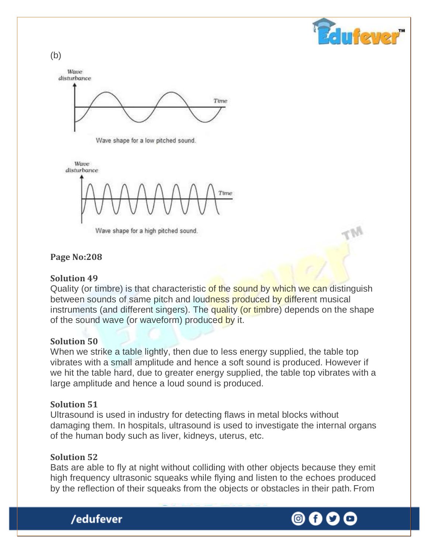



Wave shape for a low pitched sound.

Wave disturbance

Wave shape for a high pitched sound.

#### **Page No:208**

#### **Solution 49**

Quality (or timbre) is that characteristic of the sound by which we can distinguish between sounds of same pitch and loudness produced by different musical instruments (and different singers). The quality (or timbre) depends on the shape of the sound wave (or waveform) produced by it.

#### **Solution 50**

When we strike a table lightly, then due to less energy supplied, the table top vibrates with a small amplitude and hence a soft sound is produced. However if we hit the table hard, due to greater energy supplied, the table top vibrates with a large amplitude and hence a loud sound is produced.

#### **Solution 51**

Ultrasound is used in industry for detecting flaws in metal blocks without damaging them. In hospitals, ultrasound is used to investigate the internal organs of the human body such as liver, kidneys, uterus, etc.

#### **Solution 52**

/edufever

Bats are able to fly at night without colliding with other objects because they emit high frequency ultrasonic squeaks while flying and listen to the echoes produced by the reflection of their squeaks from the objects or obstacles in their path. From

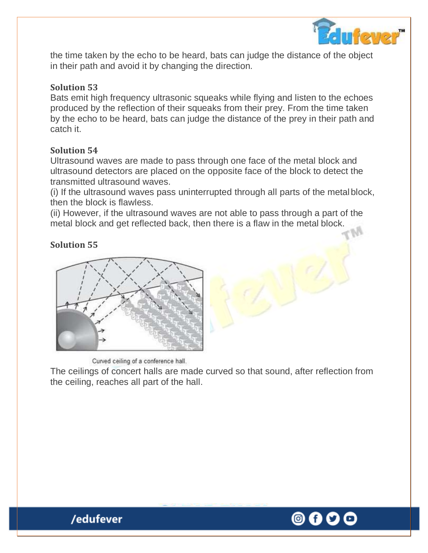

the time taken by the echo to be heard, bats can judge the distance of the object in their path and avoid it by changing the direction.

### **Solution 53**

Bats emit high frequency ultrasonic squeaks while flying and listen to the echoes produced by the reflection of their squeaks from their prey. From the time taken by the echo to be heard, bats can judge the distance of the prey in their path and catch it.

### **Solution 54**

Ultrasound waves are made to pass through one face of the metal block and ultrasound detectors are placed on the opposite face of the block to detect the transmitted ultrasound waves.

(i) If the ultrasound waves pass uninterrupted through all parts of the metalblock, then the block is flawless.

(ii) However, if the ultrasound waves are not able to pass through a part of the metal block and get reflected back, then there is a flaw in the metal block.

# **Solution 55**



Curved ceiling of a conference hall.

/edufever

The ceilings of concert halls are made curved so that sound, after reflection from the ceiling, reaches all part of the hall.

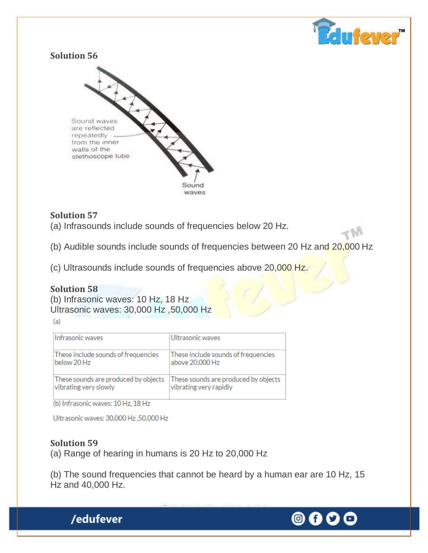



# **Solution 57**

(a) Infrasounds include sounds of frequencies below 20 Hz.

(b) Audible sounds include sounds of frequencies between 20 Hz and 20,000 Hz

(c) Ultrasounds include sounds of frequencies above 20,000 Hz.

### **Solution 58**

(b) Infrasonic waves: 10 Hz, 18 Hz Ultrasonic waves: 30,000 Hz ,50,000 Hz

| Infrasonic waves                     | Ultrasonic waves                     |
|--------------------------------------|--------------------------------------|
| These include sounds of frequencies  | These include sounds of frequencies  |
| below 20 Hz                          | above 20,000 Hz                      |
| These sounds are produced by objects | These sounds are produced by objects |
| vibrating very slowly                | vibrating very rapidly               |

(b) Infrasonic waves: 10 Hz, 18 Hz

/edufever

Ultrasonic waves: 30,000 Hz,50,000 Hz

### **Solution 59**

(a) Range of hearing in humans is 20 Hz to 20,000 Hz

(b) The sound frequencies that cannot be heard by a human ear are 10 Hz, 15 Hz and 40,000 Hz.

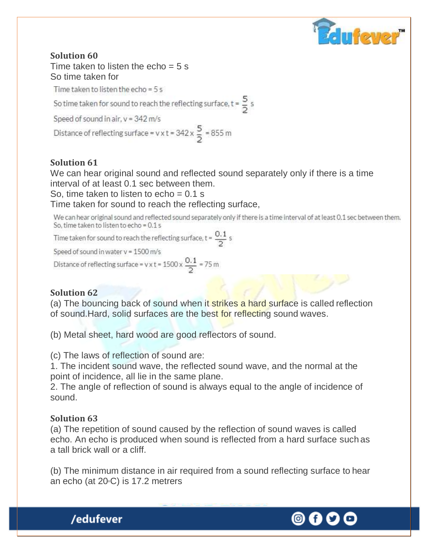

Time taken to listen the echo  $= 5$  s So time taken for

Time taken to listen the echo =  $5 s$ 

So time taken for sound to reach the reflecting surface,  $t = \frac{5}{2} s$ 

Speed of sound in air, v = 342 m/s

Distance of reflecting surface =  $v \times t = 342 \times \frac{5}{2} = 855$  m

### **Solution 61**

We can hear original sound and reflected sound separately only if there is a time interval of at least 0.1 sec between them.

So, time taken to listen to echo  $= 0.1$  s

Time taken for sound to reach the reflecting surface,

We can hear original sound and reflected sound separately only if there is a time interval of at least 0.1 sec between them. So, time taken to listen to echo = 0.1 s

Time taken for sound to reach the reflecting surface,  $t = \frac{0.1}{2} s$ 

Speed of sound in water v = 1500 m/s

Distance of reflecting surface =  $v \times t = 1500 \times \frac{0.1}{2} = 75$  m

### **Solution 62**

(a) The bouncing back of sound when it strikes a hard surface is called reflection of sound.Hard, solid surfaces are the best for reflecting sound waves.

(b) Metal sheet, hard wood are good reflectors of sound.

(c) The laws of reflection of sound are:

1. The incident sound wave, the reflected sound wave, and the normal at the point of incidence, all lie in the same plane.

2. The angle of reflection of sound is always equal to the angle of incidence of sound.

### **Solution 63**

/edufever

(a) The repetition of sound caused by the reflection of sound waves is called echo. An echo is produced when sound is reflected from a hard surface such as a tall brick wall or a cliff.

(b) The minimum distance in air required from a sound reflecting surface to hear an echo (at  $20°C$ ) is 17.2 metrers

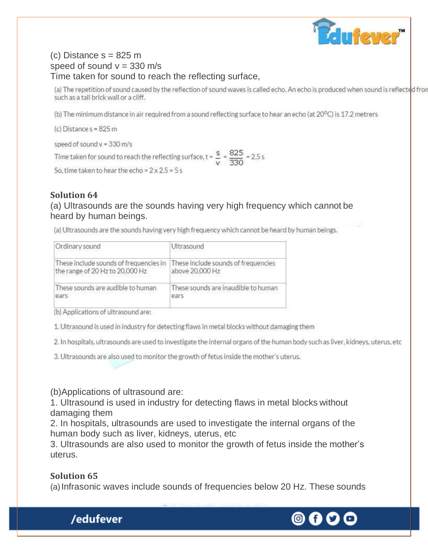

### (c) Distance s = 825 m speed of sound  $v = 330$  m/s Time taken for sound to reach the reflecting surface,

(a) The repetition of sound caused by the reflection of sound waves is called echo. An echo is produced when sound is reflected from such as a tall brick wall or a cliff.

(b) The minimum distance in air required from a sound reflecting surface to hear an echo (at 20°C) is 17.2 metrers

(c) Distance  $s = 825$  m

speed of sound  $v = 330$  m/s

Time taken for sound to reach the reflecting surface,  $t = \frac{s}{v} = \frac{825}{330} = 2.5 s$ 

So, time taken to hear the echo =  $2 \times 2.5 = 5$  s

#### **Solution 64**

(a) Ultrasounds are the sounds having very high frequency which cannot be heard by human beings.

(a) Ultrasounds are the sounds having very high frequency which cannot be heard by human beings.

| Ordinary sound                                                                                                | Ultrasound                                  |
|---------------------------------------------------------------------------------------------------------------|---------------------------------------------|
| These include sounds of frequencies in These include sounds of frequencies<br>the range of 20 Hz to 20,000 Hz | above 20,000 Hz                             |
| These sounds are audible to human<br>Pars.                                                                    | These sounds are inaudible to human<br>ears |

(b) Applications of ultrasound are:

1. Ultrasound is used in industry for detecting flaws in metal blocks without damaging them

2. In hospitals, ultrasounds are used to investigate the internal organs of the human body such as liver, kidneys, uterus, etc

3. Ultrasounds are also used to monitor the growth of fetus inside the mother's uterus.

(b)Applications of ultrasound are:

1. Ultrasound is used in industry for detecting flaws in metal blocks without damaging them

2. In hospitals, ultrasounds are used to investigate the internal organs of the human body such as liver, kidneys, uterus, etc

3. Ultrasounds are also used to monitor the growth of fetus inside the mother's uterus.

#### **Solution 65**

/edufever

(a)Infrasonic waves include sounds of frequencies below 20 Hz. These sounds

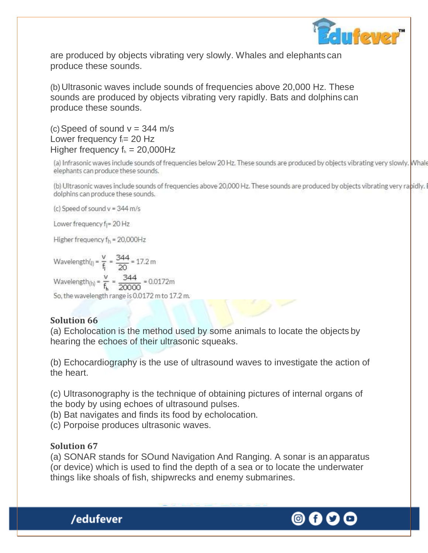

are produced by objects vibrating very slowly. Whales and elephants can produce these sounds.

(b)Ultrasonic waves include sounds of frequencies above 20,000 Hz. These sounds are produced by objects vibrating very rapidly. Bats and dolphins can produce these sounds.

(c) Speed of sound  $v = 344$  m/s Lower frequency  $f_i = 20$  Hz Higher frequency  $f_h = 20,000$ Hz

(a) Infrasonic waves include sounds of frequencies below 20 Hz. These sounds are produced by objects vibrating very slowly. Whale elephants can produce these sounds.

(b) Ultrasonic waves include sounds of frequencies above 20,000 Hz. These sounds are produced by objects vibrating very rapidly. I dolphins can produce these sounds.

(c) Speed of sound  $v = 344$  m/s

Lower frequency f<sub>l</sub>= 20 Hz

Higher frequency  $f_h = 20,000$ Hz

Wavelength(<sub>I)</sub> =  $\frac{v}{f_1}$  =  $\frac{344}{20}$  = 17.2 m  $\text{Wavelength}_{\text{(h)}} = \frac{v}{f_{\text{h}}} = \frac{344}{20000} = 0.0172\text{m}$ So, the wavelength range is 0.0172 m to 17.2 m.

### **Solution 66**

(a) Echolocation is the method used by some animals to locate the objects by hearing the echoes of their ultrasonic squeaks.

(b) Echocardiography is the use of ultrasound waves to investigate the action of the heart.

(c) Ultrasonography is the technique of obtaining pictures of internal organs of the body by using echoes of ultrasound pulses.

(b) Bat navigates and finds its food by echolocation.

(c) Porpoise produces ultrasonic waves.

### **Solution 67**

/edufever

(a) SONAR stands for SOund Navigation And Ranging. A sonar is an apparatus (or device) which is used to find the depth of a sea or to locate the underwater things like shoals of fish, shipwrecks and enemy submarines.

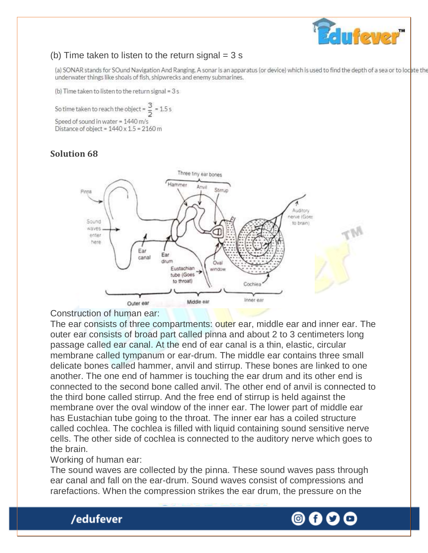

# (b) Time taken to listen to the return signal  $=$  3 s

(a) SONAR stands for SOund Navigation And Ranging. A sonar is an apparatus (or device) which is used to find the depth of a sea or to locate the underwater things like shoals of fish, shipwrecks and enemy submarines.

(b) Time taken to listen to the return signal = 3 s

 $= 1.5s$ So time taken to reach the objec Speed of sound in water = 1440 m/s Distance of object =  $1440 \times 1.5 = 2160$  m

# **Solution 68**



#### Construction of human ear:

The ear consists of three compartments: outer ear, middle ear and inner ear. The outer ear consists of broad part called pinna and about 2 to 3 centimeters long passage called ear canal. At the end of ear canal is a thin, elastic, circular membrane called tympanum or ear-drum. The middle ear contains three small delicate bones called hammer, anvil and stirrup. These bones are linked to one another. The one end of hammer is touching the ear drum and its other end is connected to the second bone called anvil. The other end of anvil is connected to the third bone called stirrup. And the free end of stirrup is held against the membrane over the oval window of the inner ear. The lower part of middle ear has Eustachian tube going to the throat. The inner ear has a coiled structure called cochlea. The cochlea is filled with liquid containing sound sensitive nerve cells. The other side of cochlea is connected to the auditory nerve which goes to the brain.

Working of human ear:

/edufever

The sound waves are collected by the pinna. These sound waves pass through ear canal and fall on the ear-drum. Sound waves consist of compressions and rarefactions. When the compression strikes the ear drum, the pressure on the

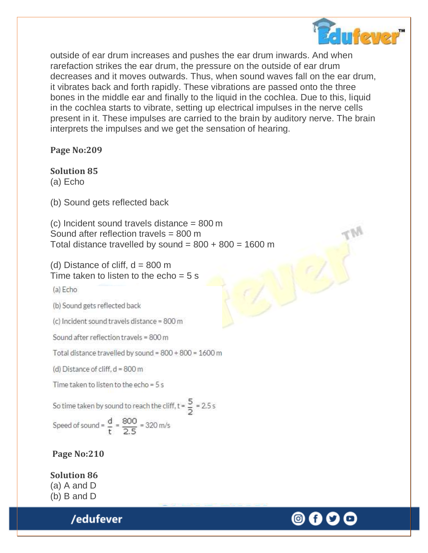

outside of ear drum increases and pushes the ear drum inwards. And when rarefaction strikes the ear drum, the pressure on the outside of ear drum decreases and it moves outwards. Thus, when sound waves fall on the ear drum, it vibrates back and forth rapidly. These vibrations are passed onto the three bones in the middle ear and finally to the liquid in the cochlea. Due to this, liquid in the cochlea starts to vibrate, setting up electrical impulses in the nerve cells present in it. These impulses are carried to the brain by auditory nerve. The brain interprets the impulses and we get the sensation of hearing.

#### **Page No:209**

#### **Solution 85**

(a) Echo

(b) Sound gets reflected back

(c) Incident sound travels distance = 800 m Sound after reflection travels = 800 m Total distance travelled by sound =  $800 + 800 = 1600$  m

(d) Distance of cliff,  $d = 800$  m Time taken to listen to the echo  $= 5$  s

(a) Echo

(b) Sound gets reflected back

(c) Incident sound travels distance = 800 m

Sound after reflection travels = 800 m

Total distance travelled by sound = 800 + 800 = 1600 m

(d) Distance of cliff,  $d = 800$  m

Time taken to listen to the echo = 5 s

So time taken by sound to reach the cliff,  $t = \frac{5}{5} = 2.5 s$ 

Speed of sound =  $\frac{d}{t} = \frac{800}{2.5} = 320$  m/s

### **Page No:210**

**Solution 86** (a) A and D (b) B and D

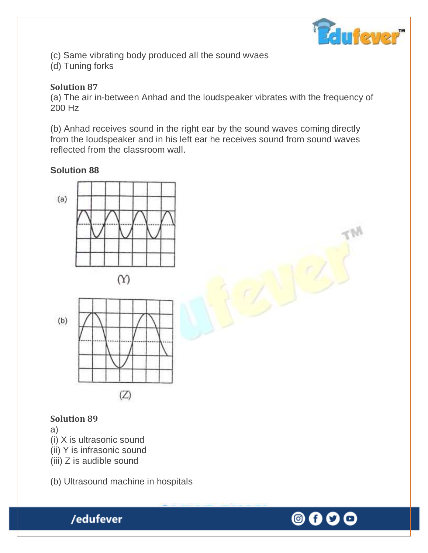

(c) Same vibrating body produced all the sound wvaes

(d) Tuning forks

# **Solution 87**

(a) The air in-between Anhad and the loudspeaker vibrates with the frequency of 200 Hz

(b) Anhad receives sound in the right ear by the sound waves coming directly from the loudspeaker and in his left ear he receives sound from sound waves reflected from the classroom wall.

# **Solution 88**





# **Solution 89**

### a)

- (i) X is ultrasonic sound
- (ii) Y is infrasonic sound
- (iii) Z is audible sound

/edufever

(b) Ultrasound machine in hospitals